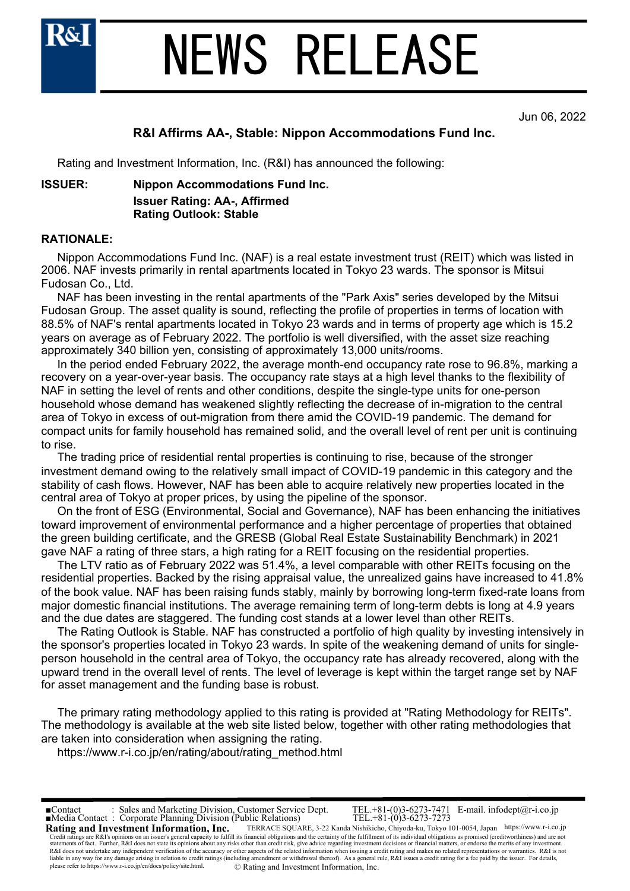

## NEWS RELEASE

Jun 06, 2022

#### **R&I Affirms AA-, Stable: Nippon Accommodations Fund Inc.**

Rating and Investment Information, Inc. (R&I) has announced the following:

**ISSUER: Nippon Accommodations Fund Inc.**

**Issuer Rating: AA-, Affirmed Rating Outlook: Stable**

#### **RATIONALE:**

 Nippon Accommodations Fund Inc. (NAF) is a real estate investment trust (REIT) which was listed in 2006. NAF invests primarily in rental apartments located in Tokyo 23 wards. The sponsor is Mitsui Fudosan Co., Ltd.

 NAF has been investing in the rental apartments of the "Park Axis" series developed by the Mitsui Fudosan Group. The asset quality is sound, reflecting the profile of properties in terms of location with 88.5% of NAF's rental apartments located in Tokyo 23 wards and in terms of property age which is 15.2 years on average as of February 2022. The portfolio is well diversified, with the asset size reaching approximately 340 billion yen, consisting of approximately 13,000 units/rooms.

 In the period ended February 2022, the average month-end occupancy rate rose to 96.8%, marking a recovery on a year-over-year basis. The occupancy rate stays at a high level thanks to the flexibility of NAF in setting the level of rents and other conditions, despite the single-type units for one-person household whose demand has weakened slightly reflecting the decrease of in-migration to the central area of Tokyo in excess of out-migration from there amid the COVID-19 pandemic. The demand for compact units for family household has remained solid, and the overall level of rent per unit is continuing to rise.

 The trading price of residential rental properties is continuing to rise, because of the stronger investment demand owing to the relatively small impact of COVID-19 pandemic in this category and the stability of cash flows. However, NAF has been able to acquire relatively new properties located in the central area of Tokyo at proper prices, by using the pipeline of the sponsor.

 On the front of ESG (Environmental, Social and Governance), NAF has been enhancing the initiatives toward improvement of environmental performance and a higher percentage of properties that obtained the green building certificate, and the GRESB (Global Real Estate Sustainability Benchmark) in 2021 gave NAF a rating of three stars, a high rating for a REIT focusing on the residential properties.

 The LTV ratio as of February 2022 was 51.4%, a level comparable with other REITs focusing on the residential properties. Backed by the rising appraisal value, the unrealized gains have increased to 41.8% of the book value. NAF has been raising funds stably, mainly by borrowing long-term fixed-rate loans from major domestic financial institutions. The average remaining term of long-term debts is long at 4.9 years and the due dates are staggered. The funding cost stands at a lower level than other REITs.

 The Rating Outlook is Stable. NAF has constructed a portfolio of high quality by investing intensively in the sponsor's properties located in Tokyo 23 wards. In spite of the weakening demand of units for singleperson household in the central area of Tokyo, the occupancy rate has already recovered, along with the upward trend in the overall level of rents. The level of leverage is kept within the target range set by NAF for asset management and the funding base is robust.

 The primary rating methodology applied to this rating is provided at "Rating Methodology for REITs". The methodology is available at the web site listed below, together with other rating methodologies that are taken into consideration when assigning the rating.

https://www.r-i.co.jp/en/rating/about/rating\_method.html

**Rating and Investment Information, Inc.** TERRACE SQUARE, 3-22 Kanda Nishikicho, Chiyoda-ku, Tokyo 101-0054, Japan https://www.r-i.co.jp ■Contact : Sales and Marketing Division, Customer Service Dept. TEL.+81-(0)3-6273-7471 E-mail. infodept@r-i.co.jp Credit ratings are R&I's opinions on an issuer's general capacity to fulfill its financial obligations and the certainty of the fulfillment of its individual obligations as promised (creditworthiness) and are not the merit R&I does not undertake any independent verification of the accuracy or other aspects of the related information when issuing a credit rating and makes no related representations or warranties. R&I is not<br>liable in any way please refer to https://www.r-i.co.jp/en/docs/policy/site.html. © Rating and Investment Information, Inc. ■Media Contact : Corporate Planning Division (Public Relations) TEL.+81-(0)3-6273-7273